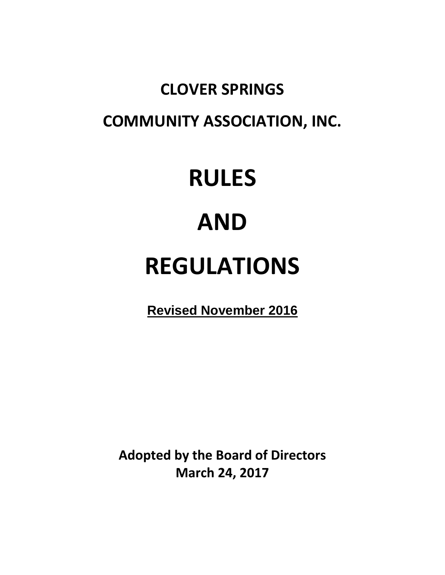# **CLOVER SPRINGS COMMUNITY ASSOCIATION, INC.**

# **RULES**

# **AND**

# **REGULATIONS**

**Revised November 2016**

**Adopted by the Board of Directors March 24, 2017**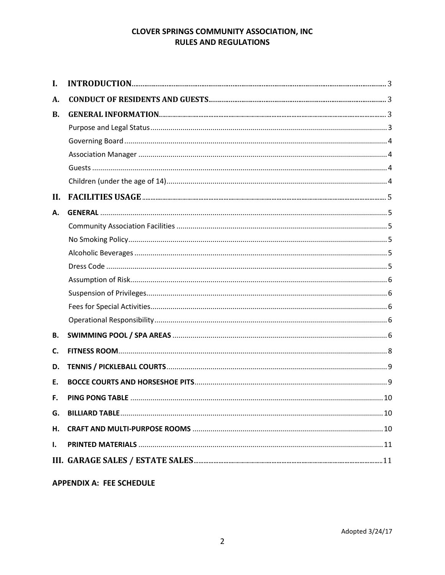| I.  |  |
|-----|--|
| А.  |  |
| В.  |  |
|     |  |
|     |  |
|     |  |
|     |  |
|     |  |
| II. |  |
| А.  |  |
|     |  |
|     |  |
|     |  |
|     |  |
|     |  |
|     |  |
|     |  |
|     |  |
| В.  |  |
| C.  |  |
| D.  |  |
| E.  |  |
| F.  |  |
| G.  |  |
| Η.  |  |
| ı.  |  |
|     |  |

**APPENDIX A: FEE SCHEDULE**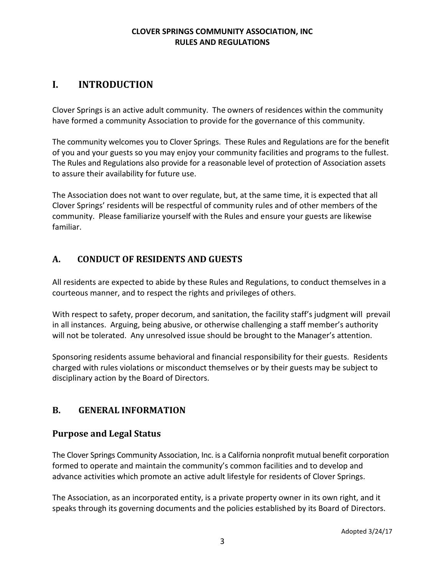# **I. INTRODUCTION**

Clover Springs is an active adult community. The owners of residences within the community have formed a community Association to provide for the governance of this community.

The community welcomes you to Clover Springs. These Rules and Regulations are for the benefit of you and your guests so you may enjoy your community facilities and programs to the fullest. The Rules and Regulations also provide for a reasonable level of protection of Association assets to assure their availability for future use.

The Association does not want to over regulate, but, at the same time, it is expected that all Clover Springs' residents will be respectful of community rules and of other members of the community. Please familiarize yourself with the Rules and ensure your guests are likewise familiar.

# **A. CONDUCT OF RESIDENTS AND GUESTS**

All residents are expected to abide by these Rules and Regulations, to conduct themselves in a courteous manner, and to respect the rights and privileges of others.

With respect to safety, proper decorum, and sanitation, the facility staff's judgment will prevail in all instances. Arguing, being abusive, or otherwise challenging a staff member's authority will not be tolerated. Any unresolved issue should be brought to the Manager's attention.

Sponsoring residents assume behavioral and financial responsibility for their guests. Residents charged with rules violations or misconduct themselves or by their guests may be subject to disciplinary action by the Board of Directors.

# **B. GENERAL INFORMATION**

# **Purpose and Legal Status**

The Clover Springs Community Association, Inc. is a California nonprofit mutual benefit corporation formed to operate and maintain the community's common facilities and to develop and advance activities which promote an active adult lifestyle for residents of Clover Springs.

The Association, as an incorporated entity, is a private property owner in its own right, and it speaks through its governing documents and the policies established by its Board of Directors.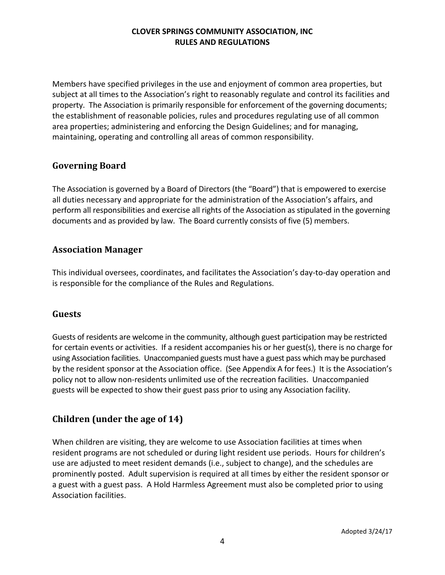Members have specified privileges in the use and enjoyment of common area properties, but subject at all times to the Association's right to reasonably regulate and control its facilities and property. The Association is primarily responsible for enforcement of the governing documents; the establishment of reasonable policies, rules and procedures regulating use of all common area properties; administering and enforcing the Design Guidelines; and for managing, maintaining, operating and controlling all areas of common responsibility.

# **Governing Board**

The Association is governed by a Board of Directors (the "Board") that is empowered to exercise all duties necessary and appropriate for the administration of the Association's affairs, and perform all responsibilities and exercise all rights of the Association as stipulated in the governing documents and as provided by law. The Board currently consists of five (5) members.

#### **Association Manager**

This individual oversees, coordinates, and facilitates the Association's day-to-day operation and is responsible for the compliance of the Rules and Regulations.

#### **Guests**

Guests of residents are welcome in the community, although guest participation may be restricted for certain events or activities. If a resident accompanies his or her guest(s), there is no charge for using Association facilities. Unaccompanied guests must have a guest pass which may be purchased by the resident sponsor at the Association office. (See Appendix A for fees.) It is the Association's policy not to allow non-residents unlimited use of the recreation facilities. Unaccompanied guests will be expected to show their guest pass prior to using any Association facility.

# **Children (under the age of 14)**

When children are visiting, they are welcome to use Association facilities at times when resident programs are not scheduled or during light resident use periods. Hours for children's use are adjusted to meet resident demands (i.e., subject to change), and the schedules are prominently posted. Adult supervision is required at all times by either the resident sponsor or a guest with a guest pass. A Hold Harmless Agreement must also be completed prior to using Association facilities.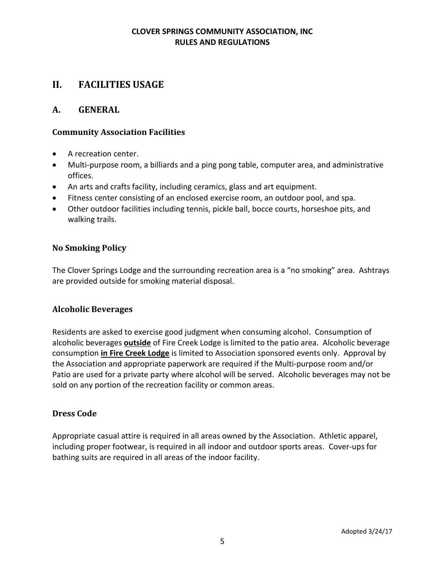# **II. FACILITIES USAGE**

#### **A. GENERAL**

#### **Community Association Facilities**

- A recreation center.
- Multi-purpose room, a billiards and a ping pong table, computer area, and administrative offices.
- An arts and crafts facility, including ceramics, glass and art equipment.
- Fitness center consisting of an enclosed exercise room, an outdoor pool, and spa.
- Other outdoor facilities including tennis, pickle ball, bocce courts, horseshoe pits, and walking trails.

#### **No Smoking Policy**

The Clover Springs Lodge and the surrounding recreation area is a "no smoking" area. Ashtrays are provided outside for smoking material disposal.

#### **Alcoholic Beverages**

Residents are asked to exercise good judgment when consuming alcohol. Consumption of alcoholic beverages **outside** of Fire Creek Lodge is limited to the patio area. Alcoholic beverage consumption **in Fire Creek Lodge** is limited to Association sponsored events only. Approval by the Association and appropriate paperwork are required if the Multi-purpose room and/or Patio are used for a private party where alcohol will be served. Alcoholic beverages may not be sold on any portion of the recreation facility or common areas.

#### **Dress Code**

Appropriate casual attire is required in all areas owned by the Association. Athletic apparel, including proper footwear, is required in all indoor and outdoor sports areas. Cover-ups for bathing suits are required in all areas of the indoor facility.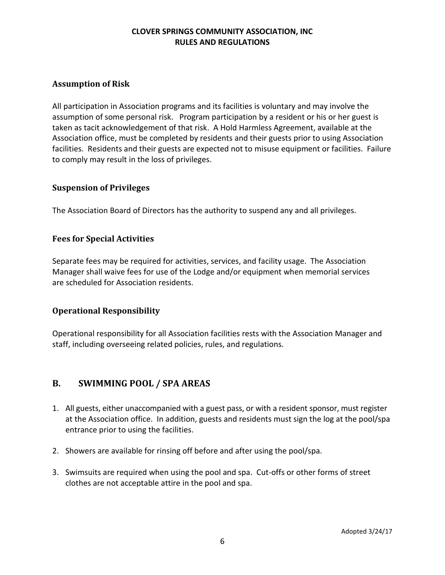#### **Assumption of Risk**

All participation in Association programs and its facilities is voluntary and may involve the assumption of some personal risk. Program participation by a resident or his or her guest is taken as tacit acknowledgement of that risk. A Hold Harmless Agreement, available at the Association office, must be completed by residents and their guests prior to using Association facilities. Residents and their guests are expected not to misuse equipment or facilities. Failure to comply may result in the loss of privileges.

#### **Suspension of Privileges**

The Association Board of Directors has the authority to suspend any and all privileges.

#### **Fees for Special Activities**

Separate fees may be required for activities, services, and facility usage. The Association Manager shall waive fees for use of the Lodge and/or equipment when memorial services are scheduled for Association residents.

#### **Operational Responsibility**

Operational responsibility for all Association facilities rests with the Association Manager and staff, including overseeing related policies, rules, and regulations.

#### **B. SWIMMING POOL / SPA AREAS**

- 1. All guests, either unaccompanied with a guest pass, or with a resident sponsor, must register at the Association office. In addition, guests and residents must sign the log at the pool/spa entrance prior to using the facilities.
- 2. Showers are available for rinsing off before and after using the pool/spa.
- 3. Swimsuits are required when using the pool and spa. Cut-offs or other forms of street clothes are not acceptable attire in the pool and spa.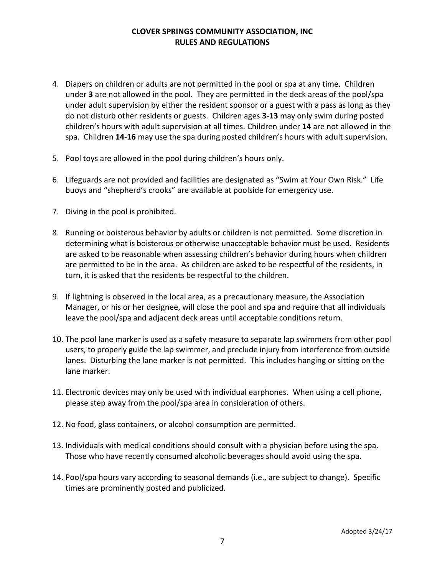- 4. Diapers on children or adults are not permitted in the pool or spa at any time. Children under **3** are not allowed in the pool. They are permitted in the deck areas of the pool/spa under adult supervision by either the resident sponsor or a guest with a pass as long as they do not disturb other residents or guests. Children ages **3-13** may only swim during posted children's hours with adult supervision at all times. Children under **14** are not allowed in the spa. Children **14-16** may use the spa during posted children's hours with adult supervision.
- 5. Pool toys are allowed in the pool during children's hours only.
- 6. Lifeguards are not provided and facilities are designated as "Swim at Your Own Risk." Life buoys and "shepherd's crooks" are available at poolside for emergency use.
- 7. Diving in the pool is prohibited.
- 8. Running or boisterous behavior by adults or children is not permitted. Some discretion in determining what is boisterous or otherwise unacceptable behavior must be used. Residents are asked to be reasonable when assessing children's behavior during hours when children are permitted to be in the area. As children are asked to be respectful of the residents, in turn, it is asked that the residents be respectful to the children.
- 9. If lightning is observed in the local area, as a precautionary measure, the Association Manager, or his or her designee, will close the pool and spa and require that all individuals leave the pool/spa and adjacent deck areas until acceptable conditions return.
- 10. The pool lane marker is used as a safety measure to separate lap swimmers from other pool users, to properly guide the lap swimmer, and preclude injury from interference from outside lanes. Disturbing the lane marker is not permitted. This includes hanging or sitting on the lane marker.
- 11. Electronic devices may only be used with individual earphones. When using a cell phone, please step away from the pool/spa area in consideration of others.
- 12. No food, glass containers, or alcohol consumption are permitted.
- 13. Individuals with medical conditions should consult with a physician before using the spa. Those who have recently consumed alcoholic beverages should avoid using the spa.
- 14. Pool/spa hours vary according to seasonal demands (i.e., are subject to change). Specific times are prominently posted and publicized.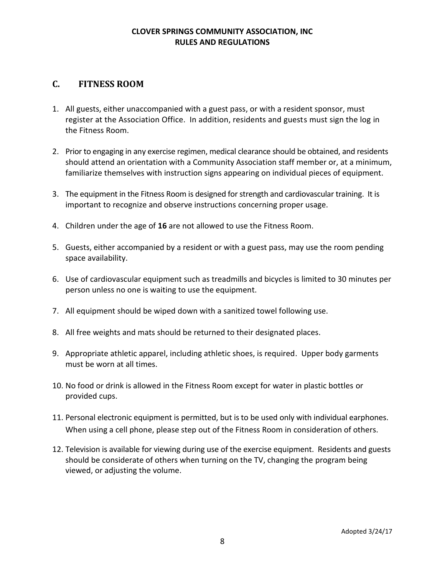#### **C. FITNESS ROOM**

- 1. All guests, either unaccompanied with a guest pass, or with a resident sponsor, must register at the Association Office. In addition, residents and guests must sign the log in the Fitness Room.
- 2. Prior to engaging in any exercise regimen, medical clearance should be obtained, and residents should attend an orientation with a Community Association staff member or, at a minimum, familiarize themselves with instruction signs appearing on individual pieces of equipment.
- 3. The equipment in the Fitness Room is designed for strength and cardiovascular training. It is important to recognize and observe instructions concerning proper usage.
- 4. Children under the age of **16** are not allowed to use the Fitness Room.
- 5. Guests, either accompanied by a resident or with a guest pass, may use the room pending space availability.
- 6. Use of cardiovascular equipment such as treadmills and bicycles is limited to 30 minutes per person unless no one is waiting to use the equipment.
- 7. All equipment should be wiped down with a sanitized towel following use.
- 8. All free weights and mats should be returned to their designated places.
- 9. Appropriate athletic apparel, including athletic shoes, is required. Upper body garments must be worn at all times.
- 10. No food or drink is allowed in the Fitness Room except for water in plastic bottles or provided cups.
- 11. Personal electronic equipment is permitted, but is to be used only with individual earphones. When using a cell phone, please step out of the Fitness Room in consideration of others.
- 12. Television is available for viewing during use of the exercise equipment. Residents and guests should be considerate of others when turning on the TV, changing the program being viewed, or adjusting the volume.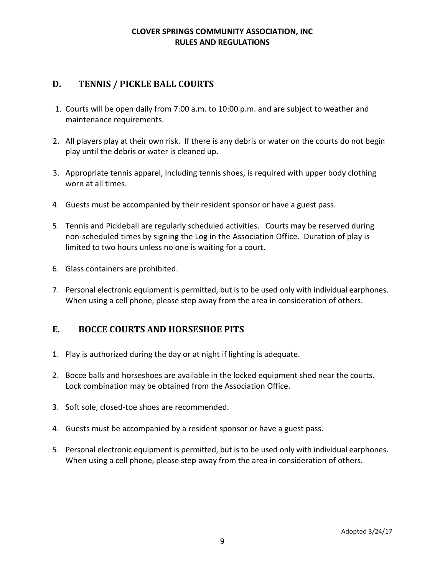# **D. TENNIS / PICKLE BALL COURTS**

- 1. Courts will be open daily from 7:00 a.m. to 10:00 p.m. and are subject to weather and maintenance requirements.
- 2. All players play at their own risk. If there is any debris or water on the courts do not begin play until the debris or water is cleaned up.
- 3. Appropriate tennis apparel, including tennis shoes, is required with upper body clothing worn at all times.
- 4. Guests must be accompanied by their resident sponsor or have a guest pass.
- 5. Tennis and Pickleball are regularly scheduled activities. Courts may be reserved during non-scheduled times by signing the Log in the Association Office. Duration of play is limited to two hours unless no one is waiting for a court.
- 6. Glass containers are prohibited.
- 7. Personal electronic equipment is permitted, but is to be used only with individual earphones. When using a cell phone, please step away from the area in consideration of others.

# **E. BOCCE COURTS AND HORSESHOE PITS**

- 1. Play is authorized during the day or at night if lighting is adequate.
- 2. Bocce balls and horseshoes are available in the locked equipment shed near the courts. Lock combination may be obtained from the Association Office.
- 3. Soft sole, closed-toe shoes are recommended.
- 4. Guests must be accompanied by a resident sponsor or have a guest pass.
- 5. Personal electronic equipment is permitted, but is to be used only with individual earphones. When using a cell phone, please step away from the area in consideration of others.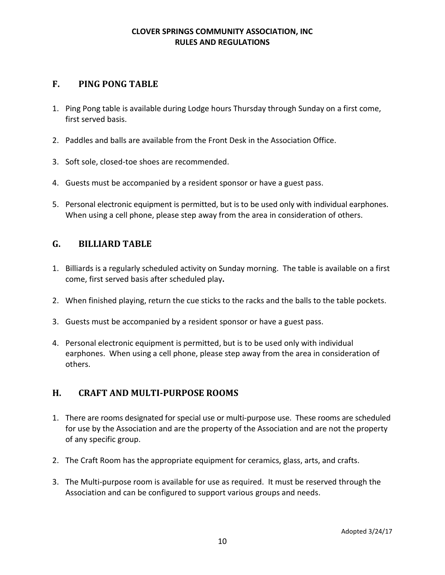# **F. PING PONG TABLE**

- 1. Ping Pong table is available during Lodge hours Thursday through Sunday on a first come, first served basis.
- 2. Paddles and balls are available from the Front Desk in the Association Office.
- 3. Soft sole, closed-toe shoes are recommended.
- 4. Guests must be accompanied by a resident sponsor or have a guest pass.
- 5. Personal electronic equipment is permitted, but is to be used only with individual earphones. When using a cell phone, please step away from the area in consideration of others.

#### **G. BILLIARD TABLE**

- 1. Billiards is a regularly scheduled activity on Sunday morning. The table is available on a first come, first served basis after scheduled play**.**
- 2. When finished playing, return the cue sticks to the racks and the balls to the table pockets.
- 3. Guests must be accompanied by a resident sponsor or have a guest pass.
- 4. Personal electronic equipment is permitted, but is to be used only with individual earphones. When using a cell phone, please step away from the area in consideration of others.

# **H. CRAFT AND MULTI-PURPOSE ROOMS**

- 1. There are rooms designated for special use or multi-purpose use. These rooms are scheduled for use by the Association and are the property of the Association and are not the property of any specific group.
- 2. The Craft Room has the appropriate equipment for ceramics, glass, arts, and crafts.
- 3. The Multi-purpose room is available for use as required. It must be reserved through the Association and can be configured to support various groups and needs.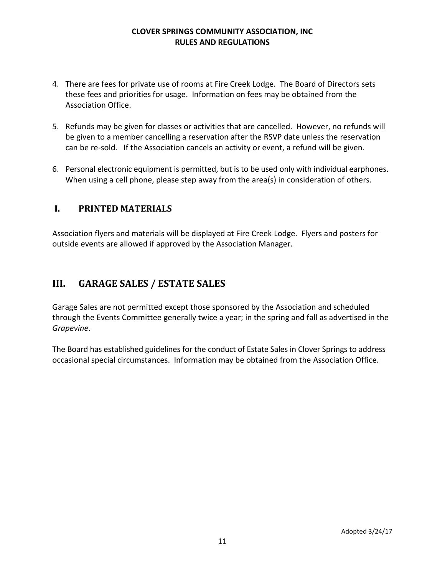- 4. There are fees for private use of rooms at Fire Creek Lodge. The Board of Directors sets these fees and priorities for usage. Information on fees may be obtained from the Association Office.
- 5. Refunds may be given for classes or activities that are cancelled. However, no refunds will be given to a member cancelling a reservation after the RSVP date unless the reservation can be re-sold. If the Association cancels an activity or event, a refund will be given.
- 6. Personal electronic equipment is permitted, but is to be used only with individual earphones. When using a cell phone, please step away from the area(s) in consideration of others.

# **I. PRINTED MATERIALS**

Association flyers and materials will be displayed at Fire Creek Lodge. Flyers and posters for outside events are allowed if approved by the Association Manager.

# **III. GARAGE SALES / ESTATE SALES**

Garage Sales are not permitted except those sponsored by the Association and scheduled through the Events Committee generally twice a year; in the spring and fall as advertised in the *Grapevine*.

The Board has established guidelines for the conduct of Estate Sales in Clover Springs to address occasional special circumstances. Information may be obtained from the Association Office.